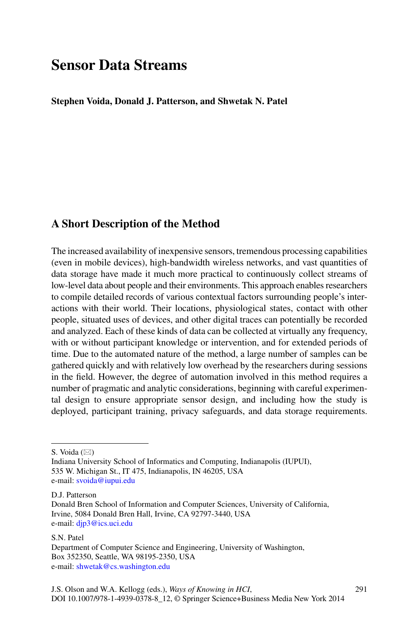# **Sensor Data Streams**

#### **Stephen Voida, Donald J. Patterson, and Shwetak N. Patel**

### **A Short Description of the Method**

 The increased availability of inexpensive sensors, tremendous processing capabilities (even in mobile devices), high-bandwidth wireless networks, and vast quantities of data storage have made it much more practical to continuously collect streams of low-level data about people and their environments. This approach enables researchers to compile detailed records of various contextual factors surrounding people's interactions with their world. Their locations, physiological states, contact with other people, situated uses of devices, and other digital traces can potentially be recorded and analyzed. Each of these kinds of data can be collected at virtually any frequency, with or without participant knowledge or intervention, and for extended periods of time. Due to the automated nature of the method, a large number of samples can be gathered quickly and with relatively low overhead by the researchers during sessions in the field. However, the degree of automation involved in this method requires a number of pragmatic and analytic considerations, beginning with careful experimental design to ensure appropriate sensor design, and including how the study is deployed, participant training, privacy safeguards, and data storage requirements.

S. Voida  $(\boxtimes)$ 

 Indiana University School of Informatics and Computing, Indianapolis (IUPUI) , 535 W. Michigan St., IT 475, Indianapolis, IN 46205, USA e-mail: [svoida@iupui.edu](mailto:svoida@iupui.edu)

D.J. Patterson

S.N. Patel

Donald Bren School of Information and Computer Sciences, University of California, Irvine, 5084 Donald Bren Hall, Irvine, CA 92797-3440, USA e-mail: [djp3@ics.uci.edu](mailto:djp3@ics.uci.edu)

Department of Computer Science and Engineering, University of Washington, Box 352350 , Seattle , WA 98195-2350 , USA e-mail: [shwetak@cs.washington.edu](mailto:shwetak@cs.washington.edu)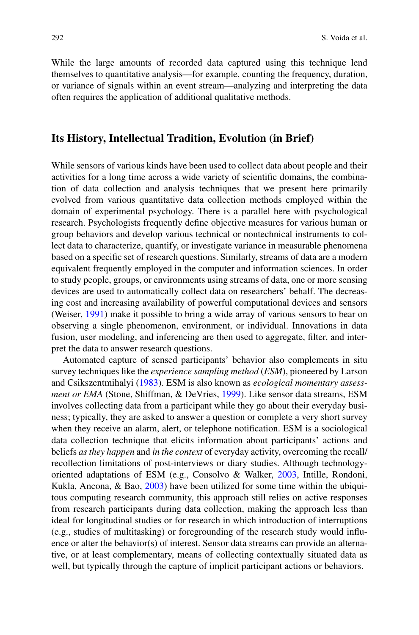While the large amounts of recorded data captured using this technique lend themselves to quantitative analysis—for example, counting the frequency, duration, or variance of signals within an event stream—analyzing and interpreting the data often requires the application of additional qualitative methods.

#### **Its History, Intellectual Tradition, Evolution (in Brief)**

 While sensors of various kinds have been used to collect data about people and their activities for a long time across a wide variety of scientific domains, the combination of data collection and analysis techniques that we present here primarily evolved from various quantitative data collection methods employed within the domain of experimental psychology. There is a parallel here with psychological research. Psychologists frequently define objective measures for various human or group behaviors and develop various technical or nontechnical instruments to collect data to characterize, quantify, or investigate variance in measurable phenomena based on a specific set of research questions. Similarly, streams of data are a modern equivalent frequently employed in the computer and information sciences. In order to study people, groups, or environments using streams of data, one or more sensing devices are used to automatically collect data on researchers' behalf. The decreasing cost and increasing availability of powerful computational devices and sensors (Weiser, [1991](#page-30-0)) make it possible to bring a wide array of various sensors to bear on observing a single phenomenon, environment, or individual. Innovations in data fusion, user modeling, and inferencing are then used to aggregate, filter, and interpret the data to answer research questions.

 Automated capture of sensed participants' behavior also complements in situ survey techniques like the *experience sampling method* ( *ESM* ), pioneered by Larson and Csikszentmihalyi [\( 1983](#page-28-0) ). ESM is also known as *ecological momentary assessment or EMA* (Stone, Shiffman, & DeVries, 1999). Like sensor data streams, ESM involves collecting data from a participant while they go about their everyday business; typically, they are asked to answer a question or complete a very short survey when they receive an alarm, alert, or telephone notification. ESM is a sociological data collection technique that elicits information about participants' actions and beliefs *as they happen* and *in the context* of everyday activity, overcoming the recall/ recollection limitations of post-interviews or diary studies. Although technology-oriented adaptations of ESM (e.g., Consolvo & Walker, [2003](#page-26-0), Intille, Rondoni, Kukla, Ancona, & Bao, [2003 \)](#page-28-0) have been utilized for some time within the ubiquitous computing research community, this approach still relies on active responses from research participants during data collection, making the approach less than ideal for longitudinal studies or for research in which introduction of interruptions (e.g., studies of multitasking) or foregrounding of the research study would influence or alter the behavior(s) of interest. Sensor data streams can provide an alternative, or at least complementary, means of collecting contextually situated data as well, but typically through the capture of implicit participant actions or behaviors.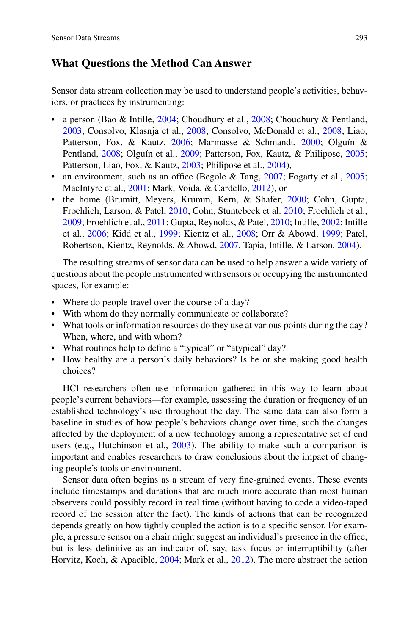# **What Questions the Method Can Answer**

 Sensor data stream collection may be used to understand people's activities, behaviors, or practices by instrumenting:

- a person (Bao & Intille, [2004](#page-25-0); Choudhury et al., 2008; Choudhury & Pentland, 2003; Consolvo, Klasnja et al., [2008](#page-26-0); Consolvo, McDonald et al., 2008; Liao, Patterson, Fox, & Kautz, 2006; Marmasse & Schmandt, [2000](#page-28-0); Olguín & Pentland, 2008; Olguín et al., [2009](#page-29-0); Patterson, Fox, Kautz, & Philipose, 2005; Patterson, Liao, Fox, & Kautz, 2003; Philipose et al., [2004](#page-29-0)),
- an environment, such as an office (Begole & Tang,  $2007$ ; Fogarty et al.,  $2005$ ; MacIntyre et al., [2001](#page-28-0); Mark, Voida, & Cardello, [2012](#page-28-0)), or
- the home (Brumitt, Meyers, Krumm, Kern, & Shafer, 2000; Cohn, Gupta, Froehlich, Larson, & Patel, 2010; Cohn, Stuntebeck et al. 2010; Froehlich et al., 2009; Froehlich et al., [2011](#page-27-0); Gupta, Reynolds, & Patel, 2010; Intille, 2002; Intille et al., 2006; Kidd et al., 1999; Kientz et al., [2008](#page-28-0); Orr & Abowd, [1999](#page-29-0); Patel, Robertson, Kientz, Reynolds, & Abowd, [2007](#page-29-0), Tapia, Intille, & Larson, 2004).

 The resulting streams of sensor data can be used to help answer a wide variety of questions about the people instrumented with sensors or occupying the instrumented spaces, for example:

- Where do people travel over the course of a day?
- With whom do they normally communicate or collaborate?
- What tools or information resources do they use at various points during the day? When, where, and with whom?
- What routines help to define a "typical" or "atypical" day?
- How healthy are a person's daily behaviors? Is he or she making good health choices?

 HCI researchers often use information gathered in this way to learn about people's current behaviors—for example, assessing the duration or frequency of an established technology's use throughout the day. The same data can also form a baseline in studies of how people's behaviors change over time, such the changes affected by the deployment of a new technology among a representative set of end users (e.g., Hutchinson et al.,  $2003$ ). The ability to make such a comparison is important and enables researchers to draw conclusions about the impact of changing people's tools or environment.

Sensor data often begins as a stream of very fine-grained events. These events include timestamps and durations that are much more accurate than most human observers could possibly record in real time (without having to code a video-taped record of the session after the fact). The kinds of actions that can be recognized depends greatly on how tightly coupled the action is to a specific sensor. For example, a pressure sensor on a chair might suggest an individual's presence in the office, but is less definitive as an indicator of, say, task focus or interruptibility (after Horvitz, Koch, & Apacible, 2004; Mark et al., [2012](#page-28-0)). The more abstract the action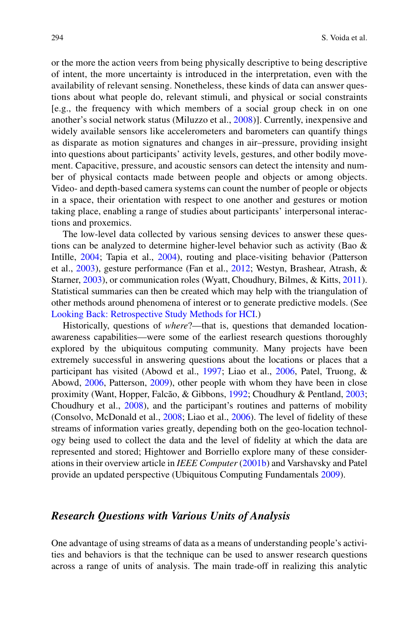or the more the action veers from being physically descriptive to being descriptive of intent, the more uncertainty is introduced in the interpretation, even with the availability of relevant sensing. Nonetheless, these kinds of data can answer questions about what people do, relevant stimuli, and physical or social constraints [e.g., the frequency with which members of a social group check in on one another's social network status (Miluzzo et al., [2008](#page-28-0) )]. Currently, inexpensive and widely available sensors like accelerometers and barometers can quantify things as disparate as motion signatures and changes in air–pressure, providing insight into questions about participants' activity levels, gestures, and other bodily movement. Capacitive, pressure, and acoustic sensors can detect the intensity and number of physical contacts made between people and objects or among objects. Video- and depth-based camera systems can count the number of people or objects in a space, their orientation with respect to one another and gestures or motion taking place, enabling a range of studies about participants' interpersonal interactions and proxemics.

 The low-level data collected by various sensing devices to answer these questions can be analyzed to determine higher-level behavior such as activity (Bao & Intille, [2004](#page-25-0); Tapia et al., 2004), routing and place-visiting behavior (Patterson et al., 2003), gesture performance (Fan et al., 2012; Westyn, Brashear, Atrash, & Starner, [2003](#page-30-0)), or communication roles (Wyatt, Choudhury, Bilmes, & Kitts, 2011). Statistical summaries can then be created which may help with the triangulation of other methods around phenomena of interest or to generate predictive models. (See  [Looking Back: Retrospective Study Methods for HCI.](http://dx.doi.org/10.1007/978-1-4939-0378-8_15))

Historically, questions of *where*?—that is, questions that demanded locationawareness capabilities—were some of the earliest research questions thoroughly explored by the ubiquitous computing community. Many projects have been extremely successful in answering questions about the locations or places that a participant has visited (Abowd et al., 1997; Liao et al., [2006](#page-28-0), Patel, Truong,  $\&$ Abowd, 2006, Patterson, [2009](#page-29-0)), other people with whom they have been in close proximity (Want, Hopper, Falcão, & Gibbons, [1992 ;](#page-30-0) Choudhury & Pentland, [2003 ;](#page-26-0) Choudhury et al., [2008](#page-26-0)), and the participant's routines and patterns of mobility (Consolvo, McDonald et al.,  $2008$ ; Liao et al.,  $2006$ ). The level of fidelity of these streams of information varies greatly, depending both on the geo-location technology being used to collect the data and the level of fidelity at which the data are represented and stored; Hightower and Borriello explore many of these considerations in their overview article in *IEEE Computer* ( [2001b \)](#page-27-0) and Varshavsky and Patel provide an updated perspective (Ubiquitous Computing Fundamentals 2009).

#### *Research Questions with Various Units of Analysis*

 One advantage of using streams of data as a means of understanding people's activities and behaviors is that the technique can be used to answer research questions across a range of units of analysis. The main trade-off in realizing this analytic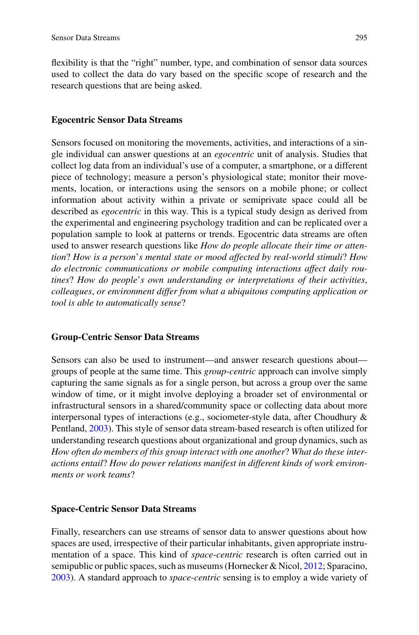flexibility is that the "right" number, type, and combination of sensor data sources used to collect the data do vary based on the specific scope of research and the research questions that are being asked.

#### **Egocentric Sensor Data Streams**

 Sensors focused on monitoring the movements, activities, and interactions of a single individual can answer questions at an *egocentric* unit of analysis. Studies that collect log data from an individual's use of a computer, a smartphone, or a different piece of technology; measure a person's physiological state; monitor their movements, location, or interactions using the sensors on a mobile phone; or collect information about activity within a private or semiprivate space could all be described as *egocentric* in this way. This is a typical study design as derived from the experimental and engineering psychology tradition and can be replicated over a population sample to look at patterns or trends. Egocentric data streams are often used to answer research questions like *How do people allocate their time or attention*? How is a person's mental state or mood affected by real-world stimuli? How *do electronic communications or mobile computing interactions affect daily routines? How do people's own understanding or interpretations of their activities, colleagues* , *or environment differ from what a ubiquitous computing application or tool is able to automatically sense* ?

#### **Group-Centric Sensor Data Streams**

 Sensors can also be used to instrument—and answer research questions about groups of people at the same time. This *group* - *centric* approach can involve simply capturing the same signals as for a single person, but across a group over the same window of time, or it might involve deploying a broader set of environmental or infrastructural sensors in a shared/community space or collecting data about more interpersonal types of interactions (e.g., sociometer-style data, after Choudhury & Pentland, [2003 \)](#page-26-0). This style of sensor data stream-based research is often utilized for understanding research questions about organizational and group dynamics, such as *How often do members of this group interact with one another* ? *What do these interactions entail* ? *How do power relations manifest in different kinds of work environments or work teams* ?

#### **Space-Centric Sensor Data Streams**

 Finally, researchers can use streams of sensor data to answer questions about how spaces are used, irrespective of their particular inhabitants, given appropriate instrumentation of a space. This kind of *space-centric* research is often carried out in semipublic or public spaces, such as museums (Hornecker & Nicol, 2012; Sparacino, [2003 \)](#page-30-0). A standard approach to *space* - *centric* sensing is to employ a wide variety of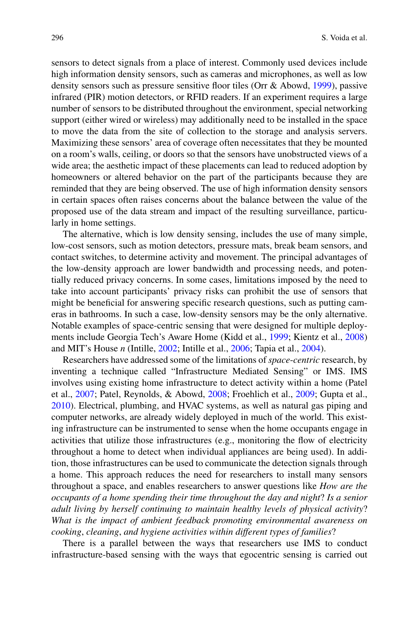sensors to detect signals from a place of interest. Commonly used devices include high information density sensors, such as cameras and microphones, as well as low density sensors such as pressure sensitive floor tiles (Orr  $\&$  Abowd, [1999](#page-29-0)), passive infrared (PIR) motion detectors, or RFID readers. If an experiment requires a large number of sensors to be distributed throughout the environment, special networking support (either wired or wireless) may additionally need to be installed in the space to move the data from the site of collection to the storage and analysis servers. Maximizing these sensors' area of coverage often necessitates that they be mounted on a room's walls, ceiling, or doors so that the sensors have unobstructed views of a wide area; the aesthetic impact of these placements can lead to reduced adoption by homeowners or altered behavior on the part of the participants because they are reminded that they are being observed. The use of high information density sensors in certain spaces often raises concerns about the balance between the value of the proposed use of the data stream and impact of the resulting surveillance, particularly in home settings.

 The alternative, which is low density sensing, includes the use of many simple, low-cost sensors, such as motion detectors, pressure mats, break beam sensors, and contact switches, to determine activity and movement. The principal advantages of the low- density approach are lower bandwidth and processing needs, and potentially reduced privacy concerns. In some cases, limitations imposed by the need to take into account participants' privacy risks can prohibit the use of sensors that might be beneficial for answering specific research questions, such as putting cameras in bathrooms. In such a case, low-density sensors may be the only alternative. Notable examples of space-centric sensing that were designed for multiple deploy-ments include Georgia Tech's Aware Home (Kidd et al., [1999](#page-28-0); Kientz et al., [2008](#page-28-0)) and MIT's House *n* (Intille, [2002](#page-27-0); Intille et al., [2006](#page-27-0); Tapia et al., [2004](#page-30-0)).

 Researchers have addressed some of the limitations of *space* - *centric* research, by inventing a technique called "Infrastructure Mediated Sensing" or IMS. IMS involves using existing home infrastructure to detect activity within a home (Patel et al., [2007](#page-29-0); Patel, Reynolds, & Abowd, [2008](#page-29-0); Froehlich et al., [2009](#page-27-0); Gupta et al., 2010). Electrical, plumbing, and HVAC systems, as well as natural gas piping and computer networks, are already widely deployed in much of the world. This existing infrastructure can be instrumented to sense when the home occupants engage in activities that utilize those infrastructures (e.g., monitoring the flow of electricity throughout a home to detect when individual appliances are being used). In addition, those infrastructures can be used to communicate the detection signals through a home. This approach reduces the need for researchers to install many sensors throughout a space, and enables researchers to answer questions like *How are the occupants of a home spending their time throughout the day and night? Is a senior adult living by herself continuing to maintain healthy levels of physical activity* ? *What is the impact of ambient feedback promoting environmental awareness on cooking* , *cleaning* , *and hygiene activities within different types of families* ?

 There is a parallel between the ways that researchers use IMS to conduct infrastructure-based sensing with the ways that egocentric sensing is carried out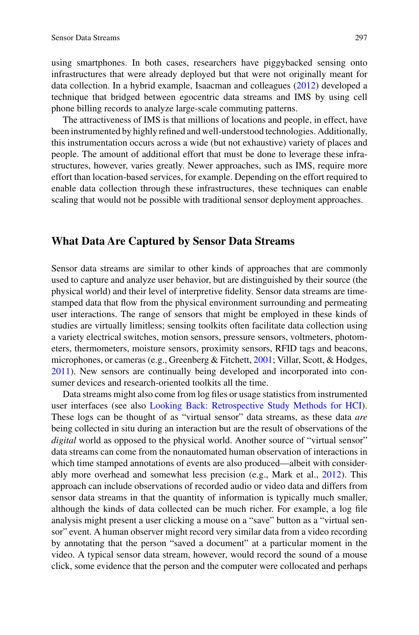using smartphones. In both cases, researchers have piggybacked sensing onto infrastructures that were already deployed but that were not originally meant for data collection. In a hybrid example, Isaacman and colleagues [\( 2012](#page-28-0) ) developed a technique that bridged between egocentric data streams and IMS by using cell phone billing records to analyze large-scale commuting patterns.

 The attractiveness of IMS is that millions of locations and people, in effect, have been instrumented by highly refined and well-understood technologies. Additionally, this instrumentation occurs across a wide (but not exhaustive) variety of places and people. The amount of additional effort that must be done to leverage these infrastructures, however, varies greatly. Newer approaches, such as IMS, require more effort than location-based services, for example. Depending on the effort required to enable data collection through these infrastructures, these techniques can enable scaling that would not be possible with traditional sensor deployment approaches.

#### **What Data Are Captured by Sensor Data Streams**

 Sensor data streams are similar to other kinds of approaches that are commonly used to capture and analyze user behavior, but are distinguished by their source (the physical world) and their level of interpretive fi delity. Sensor data streams are timestamped data that flow from the physical environment surrounding and permeating user interactions. The range of sensors that might be employed in these kinds of studies are virtually limitless; sensing toolkits often facilitate data collection using a variety electrical switches, motion sensors, pressure sensors, voltmeters, photometers, thermometers, moisture sensors, proximity sensors, RFID tags and beacons, microphones, or cameras (e.g., Greenberg & Fitchett, [2001](#page-27-0); Villar, Scott, & Hodges, [2011 \)](#page-30-0). New sensors are continually being developed and incorporated into consumer devices and research-oriented toolkits all the time.

Data streams might also come from log files or usage statistics from instrumented user interfaces (see also [Looking Back: Retrospective Study Methods for HCI\)](http://dx.doi.org/10.1007/978-1-4939-0378-8_15). These logs can be thought of as "virtual sensor" data streams, as these data *are* being collected in situ during an interaction but are the result of observations of the *digital* world as opposed to the physical world. Another source of "virtual sensor" data streams can come from the nonautomated human observation of interactions in which time stamped annotations of events are also produced—albeit with considerably more overhead and somewhat less precision (e.g., Mark et al.,  $2012$ ). This approach can include observations of recorded audio or video data and differs from sensor data streams in that the quantity of information is typically much smaller, although the kinds of data collected can be much richer. For example, a log file analysis might present a user clicking a mouse on a "save" button as a "virtual sensor" event. A human observer might record very similar data from a video recording by annotating that the person "saved a document" at a particular moment in the video. A typical sensor data stream, however, would record the sound of a mouse click, some evidence that the person and the computer were collocated and perhaps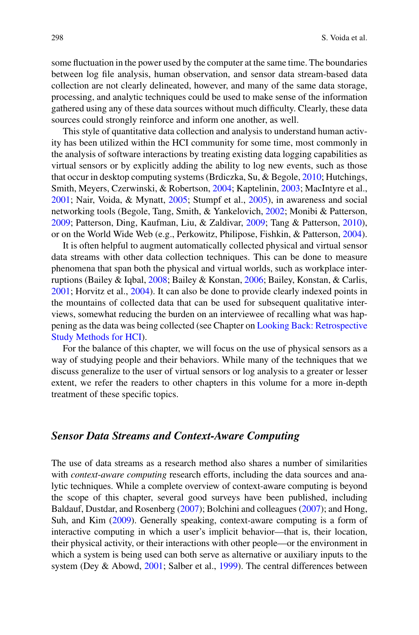some fluctuation in the power used by the computer at the same time. The boundaries between log file analysis, human observation, and sensor data stream-based data collection are not clearly delineated, however, and many of the same data storage, processing, and analytic techniques could be used to make sense of the information gathered using any of these data sources without much difficulty. Clearly, these data sources could strongly reinforce and inform one another, as well.

 This style of quantitative data collection and analysis to understand human activity has been utilized within the HCI community for some time, most commonly in the analysis of software interactions by treating existing data logging capabilities as virtual sensors or by explicitly adding the ability to log new events, such as those that occur in desktop computing systems (Brdiczka, Su, & Begole, [2010](#page-26-0); Hutchings, Smith, Meyers, Czerwinski, & Robertson, [2004](#page-27-0); Kaptelinin, [2003](#page-28-0); MacIntyre et al.,  $2001$ ; Nair, Voida, & Mynatt,  $2005$ ; Stumpf et al.,  $2005$ ), in awareness and social networking tools (Begole, Tang, Smith, & Yankelovich, 2002; Monibi & Patterson, [2009](#page-29-0); Patterson, Ding, Kaufman, Liu, & Zaldivar,  $2009$ ; Tang & Patterson,  $2010$ ), or on the World Wide Web (e.g., Perkowitz, Philipose, Fishkin, & Patterson, [2004 \)](#page-29-0).

 It is often helpful to augment automatically collected physical and virtual sensor data streams with other data collection techniques. This can be done to measure phenomena that span both the physical and virtual worlds, such as workplace inter-ruptions (Bailey & Iqbal, 2008; Bailey & Konstan, [2006](#page-25-0); Bailey, Konstan, & Carlis,  $2001$ ; Horvitz et al.,  $2004$ ). It can also be done to provide clearly indexed points in the mountains of collected data that can be used for subsequent qualitative interviews, somewhat reducing the burden on an interviewee of recalling what was happening as the data was being collected (see Chapter on [Looking Back: Retrospective](http://dx.doi.org/10.1007/978-1-4939-0378-8_15)  [Study Methods for HCI\)](http://dx.doi.org/10.1007/978-1-4939-0378-8_15).

 For the balance of this chapter, we will focus on the use of physical sensors as a way of studying people and their behaviors. While many of the techniques that we discuss generalize to the user of virtual sensors or log analysis to a greater or lesser extent, we refer the readers to other chapters in this volume for a more in-depth treatment of these specific topics.

#### *Sensor Data Streams and Context-Aware Computing*

 The use of data streams as a research method also shares a number of similarities with *context-aware computing* research efforts, including the data sources and analytic techniques. While a complete overview of context-aware computing is beyond the scope of this chapter, several good surveys have been published, including Baldauf, Dustdar, and Rosenberg (2007); Bolchini and colleagues (2007); and Hong, Suh, and Kim (2009). Generally speaking, context-aware computing is a form of interactive computing in which a user's implicit behavior—that is, their location, their physical activity, or their interactions with other people—or the environment in which a system is being used can both serve as alternative or auxiliary inputs to the system (Dey & Abowd, [2001](#page-26-0); Salber et al., 1999). The central differences between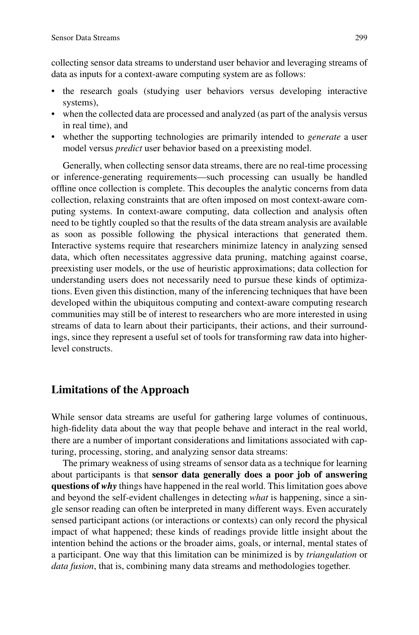collecting sensor data streams to understand user behavior and leveraging streams of data as inputs for a context-aware computing system are as follows:

- the research goals (studying user behaviors versus developing interactive systems),
- when the collected data are processed and analyzed (as part of the analysis versus in real time), and
- whether the supporting technologies are primarily intended to *generate* a user model versus *predict* user behavior based on a preexisting model.

 Generally, when collecting sensor data streams, there are no real-time processing or inference-generating requirements—such processing can usually be handled offline once collection is complete. This decouples the analytic concerns from data collection, relaxing constraints that are often imposed on most context-aware computing systems. In context-aware computing, data collection and analysis often need to be tightly coupled so that the results of the data stream analysis are available as soon as possible following the physical interactions that generated them. Interactive systems require that researchers minimize latency in analyzing sensed data, which often necessitates aggressive data pruning, matching against coarse, preexisting user models, or the use of heuristic approximations; data collection for understanding users does not necessarily need to pursue these kinds of optimizations. Even given this distinction, many of the inferencing techniques that have been developed within the ubiquitous computing and context-aware computing research communities may still be of interest to researchers who are more interested in using streams of data to learn about their participants, their actions, and their surroundings, since they represent a useful set of tools for transforming raw data into higherlevel constructs.

# **Limitations of the Approach**

 While sensor data streams are useful for gathering large volumes of continuous, high-fidelity data about the way that people behave and interact in the real world, there are a number of important considerations and limitations associated with capturing, processing, storing, and analyzing sensor data streams:

 The primary weakness of using streams of sensor data as a technique for learning about participants is that **sensor data generally does a poor job of answering questions of** *why* things have happened in the real world. This limitation goes above and beyond the self-evident challenges in detecting *what* is happening, since a single sensor reading can often be interpreted in many different ways. Even accurately sensed participant actions (or interactions or contexts) can only record the physical impact of what happened; these kinds of readings provide little insight about the intention behind the actions or the broader aims, goals, or internal, mental states of a participant. One way that this limitation can be minimized is by *triangulation* or *data fusion*, that is, combining many data streams and methodologies together.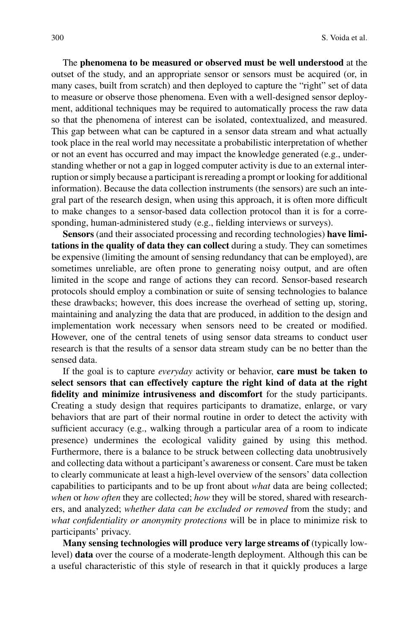The **phenomena to be measured or observed must be well understood** at the outset of the study, and an appropriate sensor or sensors must be acquired (or, in many cases, built from scratch) and then deployed to capture the "right" set of data to measure or observe those phenomena. Even with a well-designed sensor deployment, additional techniques may be required to automatically process the raw data so that the phenomena of interest can be isolated, contextualized, and measured. This gap between what can be captured in a sensor data stream and what actually took place in the real world may necessitate a probabilistic interpretation of whether or not an event has occurred and may impact the knowledge generated (e.g., understanding whether or not a gap in logged computer activity is due to an external interruption or simply because a participant is rereading a prompt or looking for additional information). Because the data collection instruments (the sensors) are such an integral part of the research design, when using this approach, it is often more difficult to make changes to a sensor-based data collection protocol than it is for a corresponding, human-administered study (e.g., fielding interviews or surveys).

**Sensors** (and their associated processing and recording technologies) **have limitations in the quality of data they can collect** during a study. They can sometimes be expensive (limiting the amount of sensing redundancy that can be employed), are sometimes unreliable, are often prone to generating noisy output, and are often limited in the scope and range of actions they can record. Sensor-based research protocols should employ a combination or suite of sensing technologies to balance these drawbacks; however, this does increase the overhead of setting up, storing, maintaining and analyzing the data that are produced, in addition to the design and implementation work necessary when sensors need to be created or modified. However, one of the central tenets of using sensor data streams to conduct user research is that the results of a sensor data stream study can be no better than the sensed data.

 If the goal is to capture *everyday* activity or behavior, **care must be taken to select sensors that can effectively capture the right kind of data at the right fidelity and minimize intrusiveness and discomfort** for the study participants. Creating a study design that requires participants to dramatize, enlarge, or vary behaviors that are part of their normal routine in order to detect the activity with sufficient accuracy (e.g., walking through a particular area of a room to indicate presence) undermines the ecological validity gained by using this method. Furthermore, there is a balance to be struck between collecting data unobtrusively and collecting data without a participant's awareness or consent. Care must be taken to clearly communicate at least a high-level overview of the sensors' data collection capabilities to participants and to be up front about *what* data are being collected; *when* or *how often* they are collected; *how* they will be stored, shared with researchers, and analyzed; *whether data can be excluded or removed* from the study; and *what confidentiality or anonymity protections* will be in place to minimize risk to participants' privacy.

**Many sensing technologies will produce very large streams of** (typically lowlevel) **data** over the course of a moderate-length deployment. Although this can be a useful characteristic of this style of research in that it quickly produces a large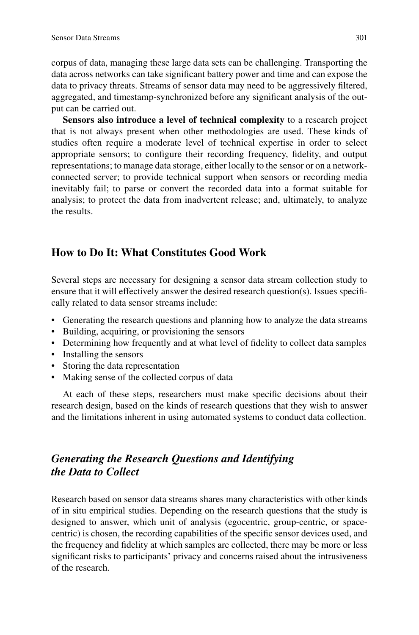corpus of data, managing these large data sets can be challenging. Transporting the data across networks can take significant battery power and time and can expose the data to privacy threats. Streams of sensor data may need to be aggressively filtered, aggregated, and timestamp-synchronized before any significant analysis of the output can be carried out.

**Sensors also introduce a level of technical complexity** to a research project that is not always present when other methodologies are used. These kinds of studies often require a moderate level of technical expertise in order to select appropriate sensors; to configure their recording frequency, fidelity, and output representations; to manage data storage, either locally to the sensor or on a networkconnected server; to provide technical support when sensors or recording media inevitably fail; to parse or convert the recorded data into a format suitable for analysis; to protect the data from inadvertent release; and, ultimately, to analyze the results.

# **How to Do It: What Constitutes Good Work**

 Several steps are necessary for designing a sensor data stream collection study to ensure that it will effectively answer the desired research question(s). Issues specifically related to data sensor streams include:

- Generating the research questions and planning how to analyze the data streams
- Building, acquiring, or provisioning the sensors
- Determining how frequently and at what level of fidelity to collect data samples
- Installing the sensors
- Storing the data representation
- Making sense of the collected corpus of data

At each of these steps, researchers must make specific decisions about their research design, based on the kinds of research questions that they wish to answer and the limitations inherent in using automated systems to conduct data collection.

# *Generating the Research Questions and Identifying the Data to Collect*

 Research based on sensor data streams shares many characteristics with other kinds of in situ empirical studies. Depending on the research questions that the study is designed to answer, which unit of analysis (egocentric, group-centric, or spacecentric) is chosen, the recording capabilities of the specific sensor devices used, and the frequency and fidelity at which samples are collected, there may be more or less significant risks to participants' privacy and concerns raised about the intrusiveness of the research.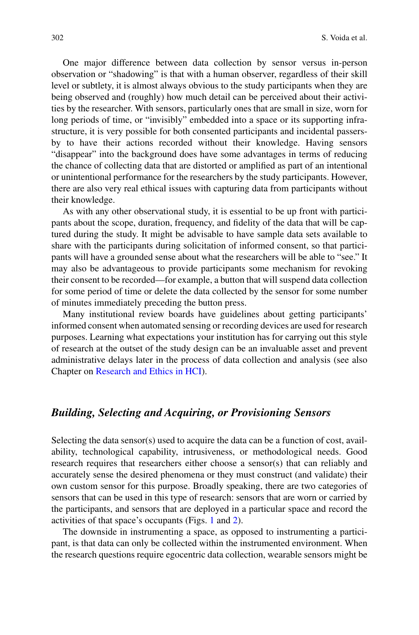One major difference between data collection by sensor versus in-person observation or "shadowing" is that with a human observer, regardless of their skill level or subtlety, it is almost always obvious to the study participants when they are being observed and (roughly) how much detail can be perceived about their activities by the researcher. With sensors, particularly ones that are small in size, worn for long periods of time, or "invisibly" embedded into a space or its supporting infrastructure, it is very possible for both consented participants and incidental passersby to have their actions recorded without their knowledge. Having sensors "disappear" into the background does have some advantages in terms of reducing the chance of collecting data that are distorted or amplified as part of an intentional or unintentional performance for the researchers by the study participants. However, there are also very real ethical issues with capturing data from participants without their knowledge.

 As with any other observational study, it is essential to be up front with participants about the scope, duration, frequency, and fidelity of the data that will be captured during the study. It might be advisable to have sample data sets available to share with the participants during solicitation of informed consent, so that participants will have a grounded sense about what the researchers will be able to "see." It may also be advantageous to provide participants some mechanism for revoking their consent to be recorded—for example, a button that will suspend data collection for some period of time or delete the data collected by the sensor for some number of minutes immediately preceding the button press.

 Many institutional review boards have guidelines about getting participants' informed consent when automated sensing or recording devices are used for research purposes. Learning what expectations your institution has for carrying out this style of research at the outset of the study design can be an invaluable asset and prevent administrative delays later in the process of data collection and analysis (see also Chapter on [Research and Ethics in HCI\)](http://dx.doi.org/10.1007/978-1-4939-0378-8_18).

#### *Building, Selecting and Acquiring, or Provisioning Sensors*

 Selecting the data sensor(s) used to acquire the data can be a function of cost, availability, technological capability, intrusiveness, or methodological needs. Good research requires that researchers either choose a sensor(s) that can reliably and accurately sense the desired phenomena or they must construct (and validate) their own custom sensor for this purpose. Broadly speaking, there are two categories of sensors that can be used in this type of research: sensors that are worn or carried by the participants, and sensors that are deployed in a particular space and record the activities of that space's occupants (Figs. [1](#page-12-0) and [2](#page-12-0)).

 The downside in instrumenting a space, as opposed to instrumenting a participant, is that data can only be collected within the instrumented environment. When the research questions require egocentric data collection, wearable sensors might be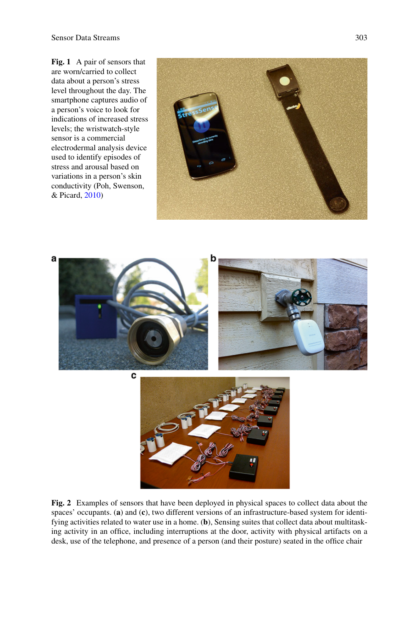<span id="page-12-0"></span> **Fig. 1** A pair of sensors that are worn/carried to collect data about a person's stress level throughout the day. The smartphone captures audio of a person's voice to look for indications of increased stress levels; the wristwatch-style sensor is a commercial electrodermal analysis device used to identify episodes of stress and arousal based on variations in a person's skin conductivity (Poh, Swenson, & Picard, [2010 \)](#page-29-0)





 **Fig. 2** Examples of sensors that have been deployed in physical spaces to collect data about the spaces' occupants. (a) and (c), two different versions of an infrastructure-based system for identifying activities related to water use in a home. (b), Sensing suites that collect data about multitasking activity in an office, including interruptions at the door, activity with physical artifacts on a desk, use of the telephone, and presence of a person (and their posture) seated in the office chair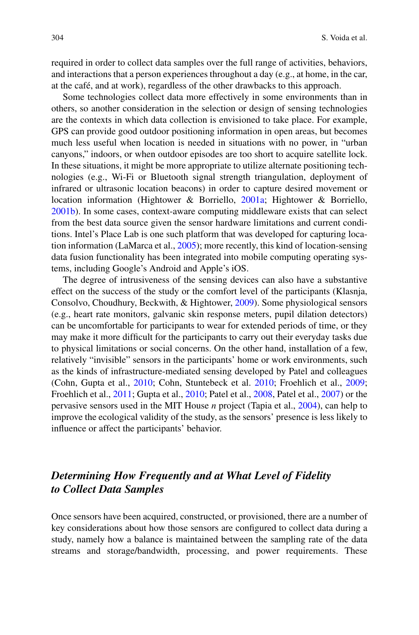required in order to collect data samples over the full range of activities, behaviors, and interactions that a person experiences throughout a day (e.g., at home, in the car, at the café, and at work), regardless of the other drawbacks to this approach.

 Some technologies collect data more effectively in some environments than in others, so another consideration in the selection or design of sensing technologies are the contexts in which data collection is envisioned to take place. For example, GPS can provide good outdoor positioning information in open areas, but becomes much less useful when location is needed in situations with no power, in "urban canyons," indoors, or when outdoor episodes are too short to acquire satellite lock. In these situations, it might be more appropriate to utilize alternate positioning technologies (e.g., Wi-Fi or Bluetooth signal strength triangulation, deployment of infrared or ultrasonic location beacons) in order to capture desired movement or location information (Hightower & Borriello,  $2001a$ ; Hightower & Borriello, 2001b). In some cases, context-aware computing middleware exists that can select from the best data source given the sensor hardware limitations and current conditions. Intel's Place Lab is one such platform that was developed for capturing loca-tion information (LaMarca et al., [2005](#page-28-0)); more recently, this kind of location-sensing data fusion functionality has been integrated into mobile computing operating systems, including Google's Android and Apple's iOS.

 The degree of intrusiveness of the sensing devices can also have a substantive effect on the success of the study or the comfort level of the participants (Klasnja, Consolvo, Choudhury, Beckwith, & Hightower, [2009](#page-28-0) ). Some physiological sensors (e.g., heart rate monitors, galvanic skin response meters, pupil dilation detectors) can be uncomfortable for participants to wear for extended periods of time, or they may make it more difficult for the participants to carry out their everyday tasks due to physical limitations or social concerns. On the other hand, installation of a few, relatively "invisible" sensors in the participants' home or work environments, such as the kinds of infrastructure-mediated sensing developed by Patel and colleagues (Cohn, Gupta et al., [2010](#page-26-0); Cohn, Stuntebeck et al. 2010; Froehlich et al., 2009; Froehlich et al., 2011; Gupta et al., 2010; Patel et al., 2008, Patel et al., 2007) or the pervasive sensors used in the MIT House *n* project (Tapia et al., [2004 \)](#page-30-0), can help to improve the ecological validity of the study, as the sensors' presence is less likely to influence or affect the participants' behavior.

# *Determining How Frequently and at What Level of Fidelity to Collect Data Samples*

 Once sensors have been acquired, constructed, or provisioned, there are a number of key considerations about how those sensors are configured to collect data during a study, namely how a balance is maintained between the sampling rate of the data streams and storage/bandwidth, processing, and power requirements. These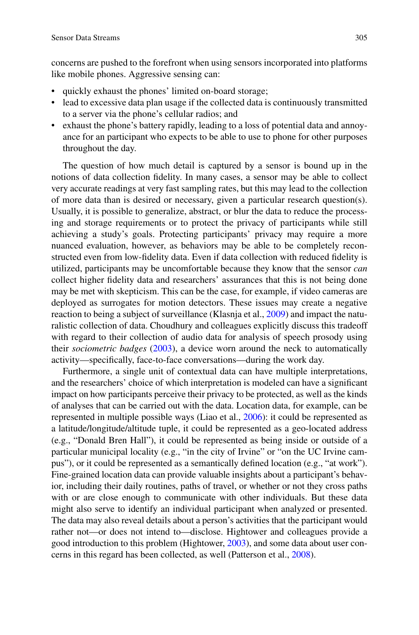concerns are pushed to the forefront when using sensors incorporated into platforms like mobile phones. Aggressive sensing can:

- quickly exhaust the phones' limited on-board storage;
- lead to excessive data plan usage if the collected data is continuously transmitted to a server via the phone's cellular radios; and
- exhaust the phone's battery rapidly, leading to a loss of potential data and annoyance for an participant who expects to be able to use to phone for other purposes throughout the day.

 The question of how much detail is captured by a sensor is bound up in the notions of data collection fidelity. In many cases, a sensor may be able to collect very accurate readings at very fast sampling rates, but this may lead to the collection of more data than is desired or necessary, given a particular research question(s). Usually, it is possible to generalize, abstract, or blur the data to reduce the processing and storage requirements or to protect the privacy of participants while still achieving a study's goals. Protecting participants' privacy may require a more nuanced evaluation, however, as behaviors may be able to be completely reconstructed even from low-fidelity data. Even if data collection with reduced fidelity is utilized, participants may be uncomfortable because they know that the sensor *can* collect higher fidelity data and researchers' assurances that this is not being done may be met with skepticism. This can be the case, for example, if video cameras are deployed as surrogates for motion detectors. These issues may create a negative reaction to being a subject of surveillance (Klasnia et al., [2009](#page-28-0)) and impact the naturalistic collection of data. Choudhury and colleagues explicitly discuss this tradeoff with regard to their collection of audio data for analysis of speech prosody using their *sociometric badges* (2003), a device worn around the neck to automatically activity—specifically, face-to-face conversations—during the work day.

 Furthermore, a single unit of contextual data can have multiple interpretations, and the researchers' choice of which interpretation is modeled can have a significant impact on how participants perceive their privacy to be protected, as well as the kinds of analyses that can be carried out with the data. Location data, for example, can be represented in multiple possible ways (Liao et al., [2006](#page-28-0) ): it could be represented as a latitude/longitude/altitude tuple, it could be represented as a geo-located address (e.g., "Donald Bren Hall"), it could be represented as being inside or outside of a particular municipal locality (e.g., "in the city of Irvine" or "on the UC Irvine campus"), or it could be represented as a semantically defined location (e.g., "at work"). Fine-grained location data can provide valuable insights about a participant's behavior, including their daily routines, paths of travel, or whether or not they cross paths with or are close enough to communicate with other individuals. But these data might also serve to identify an individual participant when analyzed or presented. The data may also reveal details about a person's activities that the participant would rather not—or does not intend to—disclose. Hightower and colleagues provide a good introduction to this problem (Hightower, [2003](#page-27-0) ), and some data about user concerns in this regard has been collected, as well (Patterson et al., 2008).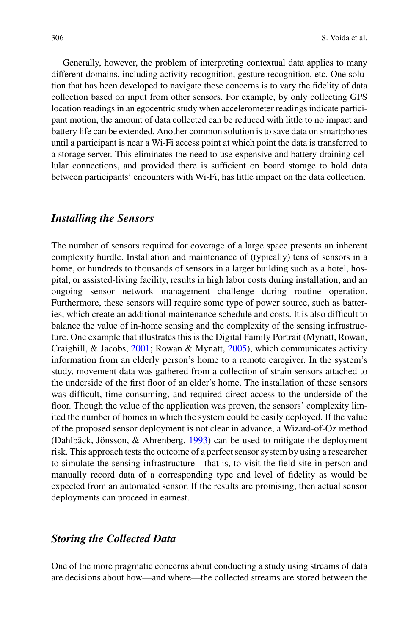Generally, however, the problem of interpreting contextual data applies to many different domains, including activity recognition, gesture recognition, etc. One solution that has been developed to navigate these concerns is to vary the fidelity of data collection based on input from other sensors. For example, by only collecting GPS location readings in an egocentric study when accelerometer readings indicate participant motion, the amount of data collected can be reduced with little to no impact and battery life can be extended. Another common solution is to save data on smartphones until a participant is near a Wi-Fi access point at which point the data is transferred to a storage server. This eliminates the need to use expensive and battery draining cellular connections, and provided there is sufficient on board storage to hold data between participants' encounters with Wi-Fi, has little impact on the data collection.

#### *Installing the Sensors*

 The number of sensors required for coverage of a large space presents an inherent complexity hurdle. Installation and maintenance of (typically) tens of sensors in a home, or hundreds to thousands of sensors in a larger building such as a hotel, hospital, or assisted-living facility, results in high labor costs during installation, and an ongoing sensor network management challenge during routine operation. Furthermore, these sensors will require some type of power source, such as batteries, which create an additional maintenance schedule and costs. It is also difficult to balance the value of in-home sensing and the complexity of the sensing infrastructure. One example that illustrates this is the Digital Family Portrait (Mynatt, Rowan, Craighill, & Jacobs,  $2001$ ; Rowan & Mynatt,  $2005$ ), which communicates activity information from an elderly person's home to a remote caregiver. In the system's study, movement data was gathered from a collection of strain sensors attached to the underside of the first floor of an elder's home. The installation of these sensors was difficult, time-consuming, and required direct access to the underside of the floor. Though the value of the application was proven, the sensors' complexity limited the number of homes in which the system could be easily deployed. If the value of the proposed sensor deployment is not clear in advance, a Wizard-of-Oz method (Dahlbäck, Jönsson, & Ahrenberg, 1993) can be used to mitigate the deployment risk. This approach tests the outcome of a perfect sensor system by using a researcher to simulate the sensing infrastructure—that is, to visit the field site in person and manually record data of a corresponding type and level of fidelity as would be expected from an automated sensor. If the results are promising, then actual sensor deployments can proceed in earnest.

#### *Storing the Collected Data*

 One of the more pragmatic concerns about conducting a study using streams of data are decisions about how—and where—the collected streams are stored between the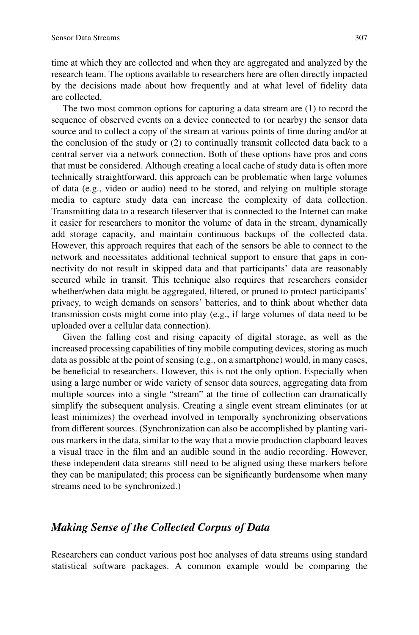time at which they are collected and when they are aggregated and analyzed by the research team. The options available to researchers here are often directly impacted by the decisions made about how frequently and at what level of fidelity data are collected.

 The two most common options for capturing a data stream are (1) to record the sequence of observed events on a device connected to (or nearby) the sensor data source and to collect a copy of the stream at various points of time during and/or at the conclusion of the study or (2) to continually transmit collected data back to a central server via a network connection. Both of these options have pros and cons that must be considered. Although creating a local cache of study data is often more technically straightforward, this approach can be problematic when large volumes of data (e.g., video or audio) need to be stored, and relying on multiple storage media to capture study data can increase the complexity of data collection. Transmitting data to a research fileserver that is connected to the Internet can make it easier for researchers to monitor the volume of data in the stream, dynamically add storage capacity, and maintain continuous backups of the collected data. However, this approach requires that each of the sensors be able to connect to the network and necessitates additional technical support to ensure that gaps in connectivity do not result in skipped data and that participants' data are reasonably secured while in transit. This technique also requires that researchers consider whether/when data might be aggregated, filtered, or pruned to protect participants' privacy, to weigh demands on sensors' batteries, and to think about whether data transmission costs might come into play (e.g., if large volumes of data need to be uploaded over a cellular data connection).

 Given the falling cost and rising capacity of digital storage, as well as the increased processing capabilities of tiny mobile computing devices, storing as much data as possible at the point of sensing (e.g., on a smartphone) would, in many cases, be beneficial to researchers. However, this is not the only option. Especially when using a large number or wide variety of sensor data sources, aggregating data from multiple sources into a single "stream" at the time of collection can dramatically simplify the subsequent analysis. Creating a single event stream eliminates (or at least minimizes) the overhead involved in temporally synchronizing observations from different sources. (Synchronization can also be accomplished by planting various markers in the data, similar to the way that a movie production clapboard leaves a visual trace in the film and an audible sound in the audio recording. However, these independent data streams still need to be aligned using these markers before they can be manipulated; this process can be significantly burdensome when many streams need to be synchronized.)

### *Making Sense of the Collected Corpus of Data*

 Researchers can conduct various post hoc analyses of data streams using standard statistical software packages. A common example would be comparing the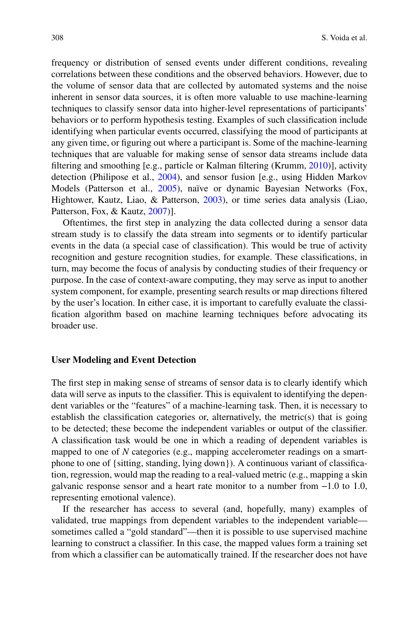frequency or distribution of sensed events under different conditions, revealing correlations between these conditions and the observed behaviors. However, due to the volume of sensor data that are collected by automated systems and the noise inherent in sensor data sources, it is often more valuable to use machine-learning techniques to classify sensor data into higher-level representations of participants' behaviors or to perform hypothesis testing. Examples of such classification include identifying when particular events occurred, classifying the mood of participants at any given time, or figuring out where a participant is. Some of the machine-learning techniques that are valuable for making sense of sensor data streams include data filtering and smoothing  $[e.g.,$  particle or Kalman filtering (Krumm, [2010](#page-28-0))], activity detection (Philipose et al., 2004), and sensor fusion [e.g., using Hidden Markov Models (Patterson et al., 2005), naïve or dynamic Bayesian Networks (Fox, Hightower, Kautz, Liao, & Patterson, [2003](#page-27-0) ), or time series data analysis (Liao, Patterson, Fox, & Kautz, [2007](#page-28-0))].

Oftentimes, the first step in analyzing the data collected during a sensor data stream study is to classify the data stream into segments or to identify particular events in the data (a special case of classification). This would be true of activity recognition and gesture recognition studies, for example. These classifications, in turn, may become the focus of analysis by conducting studies of their frequency or purpose. In the case of context-aware computing, they may serve as input to another system component, for example, presenting search results or map directions filtered by the user's location. In either case, it is important to carefully evaluate the classification algorithm based on machine learning techniques before advocating its broader use.

#### **User Modeling and Event Detection**

The first step in making sense of streams of sensor data is to clearly identify which data will serve as inputs to the classifier. This is equivalent to identifying the dependent variables or the "features" of a machine-learning task. Then, it is necessary to establish the classification categories or, alternatively, the metric $(s)$  that is going to be detected; these become the independent variables or output of the classifier. A classification task would be one in which a reading of dependent variables is mapped to one of *N* categories (e.g., mapping accelerometer readings on a smartphone to one of {sitting, standing, lying down}). A continuous variant of classification, regression, would map the reading to a real-valued metric (e.g., mapping a skin galvanic response sensor and a heart rate monitor to a number from −1.0 to 1.0, representing emotional valence).

 If the researcher has access to several (and, hopefully, many) examples of validated, true mappings from dependent variables to the independent variable sometimes called a "gold standard"—then it is possible to use supervised machine learning to construct a classifier. In this case, the mapped values form a training set from which a classifier can be automatically trained. If the researcher does not have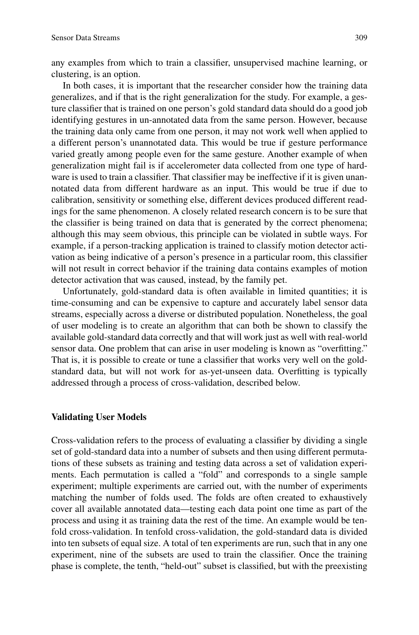any examples from which to train a classifier, unsupervised machine learning, or clustering, is an option.

 In both cases, it is important that the researcher consider how the training data generalizes, and if that is the right generalization for the study. For example, a gesture classifier that is trained on one person's gold standard data should do a good job identifying gestures in un-annotated data from the same person. However, because the training data only came from one person, it may not work well when applied to a different person's unannotated data. This would be true if gesture performance varied greatly among people even for the same gesture. Another example of when generalization might fail is if accelerometer data collected from one type of hardware is used to train a classifier. That classifier may be ineffective if it is given unannotated data from different hardware as an input. This would be true if due to calibration, sensitivity or something else, different devices produced different readings for the same phenomenon. A closely related research concern is to be sure that the classifier is being trained on data that is generated by the correct phenomena; although this may seem obvious, this principle can be violated in subtle ways. For example, if a person-tracking application is trained to classify motion detector activation as being indicative of a person's presence in a particular room, this classifier will not result in correct behavior if the training data contains examples of motion detector activation that was caused, instead, by the family pet.

 Unfortunately, gold-standard data is often available in limited quantities; it is time-consuming and can be expensive to capture and accurately label sensor data streams, especially across a diverse or distributed population. Nonetheless, the goal of user modeling is to create an algorithm that can both be shown to classify the available gold-standard data correctly and that will work just as well with real-world sensor data. One problem that can arise in user modeling is known as "overfitting." That is, it is possible to create or tune a classifier that works very well on the goldstandard data, but will not work for as-yet-unseen data. Overfitting is typically addressed through a process of cross-validation, described below.

#### **Validating User Models**

Cross-validation refers to the process of evaluating a classifier by dividing a single set of gold-standard data into a number of subsets and then using different permutations of these subsets as training and testing data across a set of validation experiments. Each permutation is called a "fold" and corresponds to a single sample experiment; multiple experiments are carried out, with the number of experiments matching the number of folds used. The folds are often created to exhaustively cover all available annotated data— testing each data point one time as part of the process and using it as training data the rest of the time. An example would be tenfold cross-validation. In tenfold cross-validation, the gold-standard data is divided into ten subsets of equal size. A total of ten experiments are run, such that in any one experiment, nine of the subsets are used to train the classifier. Once the training phase is complete, the tenth, "held-out" subset is classified, but with the preexisting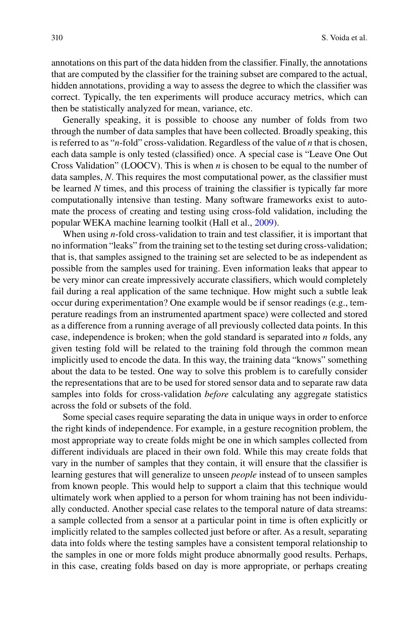annotations on this part of the data hidden from the classifier. Finally, the annotations that are computed by the classifier for the training subset are compared to the actual, hidden annotations, providing a way to assess the degree to which the classifier was correct. Typically, the ten experiments will produce accuracy metrics, which can then be statistically analyzed for mean, variance, etc.

 Generally speaking, it is possible to choose any number of folds from two through the number of data samples that have been collected. Broadly speaking, this is referred to as "*n*-fold" cross-validation. Regardless of the value of *n* that is chosen, each data sample is only tested (classified) once. A special case is "Leave One Out Cross Validation" (LOOCV). This is when *n* is chosen to be equal to the number of data samples, N. This requires the most computational power, as the classifier must be learned *N* times, and this process of training the classifier is typically far more computationally intensive than testing. Many software frameworks exist to automate the process of creating and testing using cross-fold validation, including the popular WEKA machine learning toolkit (Hall et al., [2009](#page-27-0) ).

When using *n*-fold cross-validation to train and test classifier, it is important that no information "leaks" from the training set to the testing set during cross- validation; that is, that samples assigned to the training set are selected to be as independent as possible from the samples used for training. Even information leaks that appear to be very minor can create impressively accurate classifiers, which would completely fail during a real application of the same technique. How might such a subtle leak occur during experimentation? One example would be if sensor readings (e.g., temperature readings from an instrumented apartment space) were collected and stored as a difference from a running average of all previously collected data points. In this case, independence is broken; when the gold standard is separated into *n* folds, any given testing fold will be related to the training fold through the common mean implicitly used to encode the data. In this way, the training data "knows" something about the data to be tested. One way to solve this problem is to carefully consider the representations that are to be used for stored sensor data and to separate raw data samples into folds for cross-validation *before* calculating any aggregate statistics across the fold or subsets of the fold.

 Some special cases require separating the data in unique ways in order to enforce the right kinds of independence. For example, in a gesture recognition problem, the most appropriate way to create folds might be one in which samples collected from different individuals are placed in their own fold. While this may create folds that vary in the number of samples that they contain, it will ensure that the classifier is learning gestures that will generalize to unseen *people* instead of to unseen samples from known people. This would help to support a claim that this technique would ultimately work when applied to a person for whom training has not been individually conducted. Another special case relates to the temporal nature of data streams: a sample collected from a sensor at a particular point in time is often explicitly or implicitly related to the samples collected just before or after. As a result, separating data into folds where the testing samples have a consistent temporal relationship to the samples in one or more folds might produce abnormally good results. Perhaps, in this case, creating folds based on day is more appropriate, or perhaps creating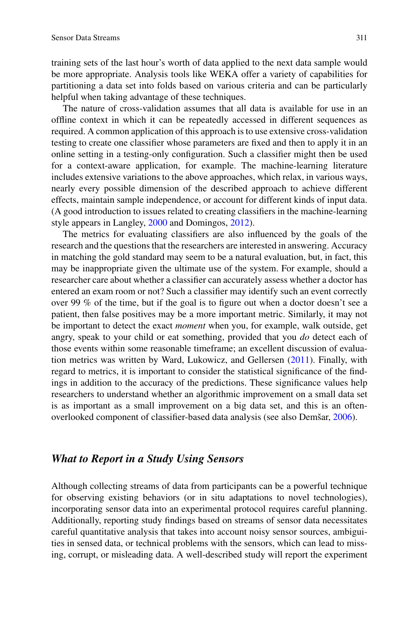training sets of the last hour's worth of data applied to the next data sample would be more appropriate. Analysis tools like WEKA offer a variety of capabilities for partitioning a data set into folds based on various criteria and can be particularly helpful when taking advantage of these techniques.

 The nature of cross-validation assumes that all data is available for use in an offline context in which it can be repeatedly accessed in different sequences as required. A common application of this approach is to use extensive cross- validation testing to create one classifier whose parameters are fixed and then to apply it in an online setting in a testing-only configuration. Such a classifier might then be used for a context-aware application, for example. The machine-learning literature includes extensive variations to the above approaches, which relax, in various ways, nearly every possible dimension of the described approach to achieve different effects, maintain sample independence, or account for different kinds of input data. (A good introduction to issues related to creating classifiers in the machine-learning style appears in Langley, [2000](#page-28-0) and Domingos, 2012).

The metrics for evaluating classifiers are also influenced by the goals of the research and the questions that the researchers are interested in answering. Accuracy in matching the gold standard may seem to be a natural evaluation, but, in fact, this may be inappropriate given the ultimate use of the system. For example, should a researcher care about whether a classifier can accurately assess whether a doctor has entered an exam room or not? Such a classifier may identify such an event correctly over 99 % of the time, but if the goal is to figure out when a doctor doesn't see a patient, then false positives may be a more important metric. Similarly, it may not be important to detect the exact *moment* when you, for example, walk outside, get angry, speak to your child or eat something, provided that you *do* detect each of those events within some reasonable timeframe; an excellent discussion of evaluation metrics was written by Ward, Lukowicz, and Gellersen (2011). Finally, with regard to metrics, it is important to consider the statistical significance of the findings in addition to the accuracy of the predictions. These significance values help researchers to understand whether an algorithmic improvement on a small data set is as important as a small improvement on a big data set, and this is an often-overlooked component of classifier-based data analysis (see also Demšar, [2006](#page-26-0)).

#### *What to Report in a Study Using Sensors*

 Although collecting streams of data from participants can be a powerful technique for observing existing behaviors (or in situ adaptations to novel technologies), incorporating sensor data into an experimental protocol requires careful planning. Additionally, reporting study findings based on streams of sensor data necessitates careful quantitative analysis that takes into account noisy sensor sources, ambiguities in sensed data, or technical problems with the sensors, which can lead to missing, corrupt, or misleading data. A well-described study will report the experiment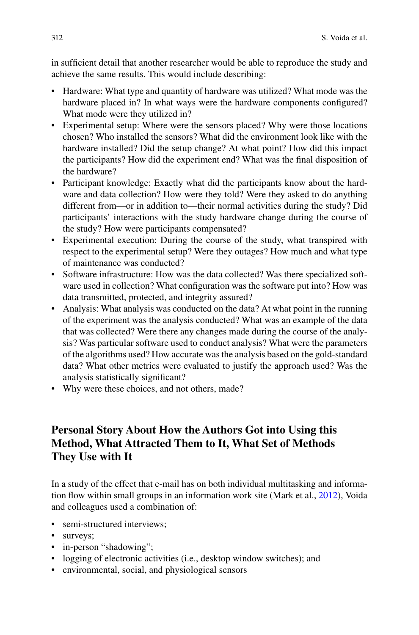in sufficient detail that another researcher would be able to reproduce the study and achieve the same results. This would include describing:

- Hardware: What type and quantity of hardware was utilized? What mode was the hardware placed in? In what ways were the hardware components configured? What mode were they utilized in?
- Experimental setup: Where were the sensors placed? Why were those locations chosen? Who installed the sensors? What did the environment look like with the hardware installed? Did the setup change? At what point? How did this impact the participants? How did the experiment end? What was the final disposition of the hardware?
- Participant knowledge: Exactly what did the participants know about the hardware and data collection? How were they told? Were they asked to do anything different from—or in addition to—their normal activities during the study? Did participants' interactions with the study hardware change during the course of the study? How were participants compensated?
- Experimental execution: During the course of the study, what transpired with respect to the experimental setup? Were they outages? How much and what type of maintenance was conducted?
- Software infrastructure: How was the data collected? Was there specialized software used in collection? What configuration was the software put into? How was data transmitted, protected, and integrity assured?
- Analysis: What analysis was conducted on the data? At what point in the running of the experiment was the analysis conducted? What was an example of the data that was collected? Were there any changes made during the course of the analysis? Was particular software used to conduct analysis? What were the parameters of the algorithms used? How accurate was the analysis based on the gold- standard data? What other metrics were evaluated to justify the approach used? Was the analysis statistically significant?
- Why were these choices, and not others, made?

# **Personal Story About How the Authors Got into Using this Method, What Attracted Them to It, What Set of Methods They Use with It**

 In a study of the effect that e-mail has on both individual multitasking and informa-tion flow within small groups in an information work site (Mark et al., [2012](#page-28-0)), Voida and colleagues used a combination of:

- semi-structured interviews;
- surveys;
- in-person "shadowing";
- logging of electronic activities (i.e., desktop window switches); and
- environmental, social, and physiological sensors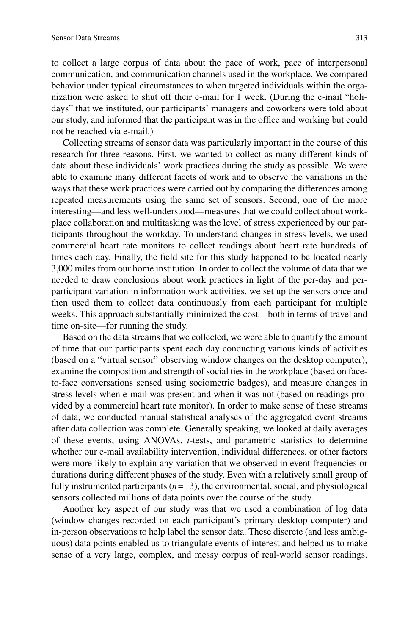to collect a large corpus of data about the pace of work, pace of interpersonal communication, and communication channels used in the workplace. We compared behavior under typical circumstances to when targeted individuals within the organization were asked to shut off their e-mail for 1 week. (During the e-mail "holidays" that we instituted, our participants' managers and coworkers were told about our study, and informed that the participant was in the office and working but could not be reached via e-mail.)

 Collecting streams of sensor data was particularly important in the course of this research for three reasons. First, we wanted to collect as many different kinds of data about these individuals' work practices during the study as possible. We were able to examine many different facets of work and to observe the variations in the ways that these work practices were carried out by comparing the differences among repeated measurements using the same set of sensors. Second, one of the more interesting—and less well-understood—measures that we could collect about workplace collaboration and multitasking was the level of stress experienced by our participants throughout the workday. To understand changes in stress levels, we used commercial heart rate monitors to collect readings about heart rate hundreds of times each day. Finally, the field site for this study happened to be located nearly 3,000 miles from our home institution. In order to collect the volume of data that we needed to draw conclusions about work practices in light of the per-day and perparticipant variation in information work activities, we set up the sensors once and then used them to collect data continuously from each participant for multiple weeks. This approach substantially minimized the cost—both in terms of travel and time on-site—for running the study.

 Based on the data streams that we collected, we were able to quantify the amount of time that our participants spent each day conducting various kinds of activities (based on a "virtual sensor" observing window changes on the desktop computer), examine the composition and strength of social ties in the workplace (based on faceto- face conversations sensed using sociometric badges), and measure changes in stress levels when e-mail was present and when it was not (based on readings provided by a commercial heart rate monitor). In order to make sense of these streams of data, we conducted manual statistical analyses of the aggregated event streams after data collection was complete. Generally speaking, we looked at daily averages of these events, using ANOVAs, *t* -tests, and parametric statistics to determine whether our e-mail availability intervention, individual differences, or other factors were more likely to explain any variation that we observed in event frequencies or durations during different phases of the study. Even with a relatively small group of fully instrumented participants  $(n=13)$ , the environmental, social, and physiological sensors collected millions of data points over the course of the study.

 Another key aspect of our study was that we used a combination of log data (window changes recorded on each participant's primary desktop computer) and in-person observations to help label the sensor data. These discrete (and less ambiguous) data points enabled us to triangulate events of interest and helped us to make sense of a very large, complex, and messy corpus of real-world sensor readings.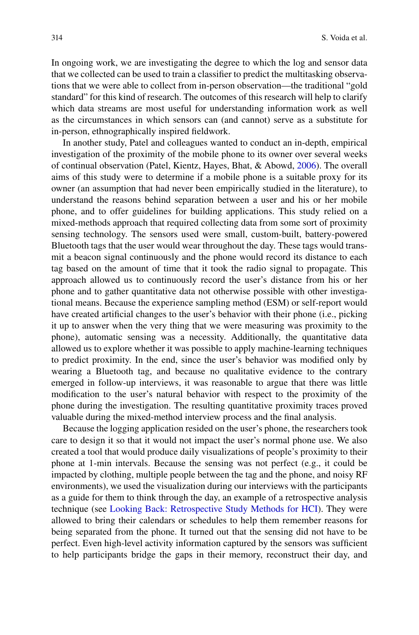In ongoing work, we are investigating the degree to which the log and sensor data that we collected can be used to train a classifier to predict the multitasking observations that we were able to collect from in-person observation—the traditional "gold standard" for this kind of research. The outcomes of this research will help to clarify which data streams are most useful for understanding information work as well as the circumstances in which sensors can (and cannot) serve as a substitute for in-person, ethnographically inspired fieldwork.

 In another study, Patel and colleagues wanted to conduct an in-depth, empirical investigation of the proximity of the mobile phone to its owner over several weeks of continual observation (Patel, Kientz, Hayes, Bhat, & Abowd, [2006 \)](#page-29-0). The overall aims of this study were to determine if a mobile phone is a suitable proxy for its owner (an assumption that had never been empirically studied in the literature), to understand the reasons behind separation between a user and his or her mobile phone, and to offer guidelines for building applications. This study relied on a mixed-methods approach that required collecting data from some sort of proximity sensing technology. The sensors used were small, custom-built, battery-powered Bluetooth tags that the user would wear throughout the day. These tags would transmit a beacon signal continuously and the phone would record its distance to each tag based on the amount of time that it took the radio signal to propagate. This approach allowed us to continuously record the user's distance from his or her phone and to gather quantitative data not otherwise possible with other investigational means. Because the experience sampling method (ESM) or self-report would have created artificial changes to the user's behavior with their phone (i.e., picking it up to answer when the very thing that we were measuring was proximity to the phone), automatic sensing was a necessity. Additionally, the quantitative data allowed us to explore whether it was possible to apply machine-learning techniques to predict proximity. In the end, since the user's behavior was modified only by wearing a Bluetooth tag, and because no qualitative evidence to the contrary emerged in follow-up interviews, it was reasonable to argue that there was little modification to the user's natural behavior with respect to the proximity of the phone during the investigation. The resulting quantitative proximity traces proved valuable during the mixed-method interview process and the final analysis.

 Because the logging application resided on the user's phone, the researchers took care to design it so that it would not impact the user's normal phone use. We also created a tool that would produce daily visualizations of people's proximity to their phone at 1-min intervals. Because the sensing was not perfect (e.g., it could be impacted by clothing, multiple people between the tag and the phone, and noisy RF environments), we used the visualization during our interviews with the participants as a guide for them to think through the day, an example of a retrospective analysis technique (see [Looking Back: Retrospective Study Methods for HCI](http://dx.doi.org/10.1007/978-1-4939-0378-8_15)). They were allowed to bring their calendars or schedules to help them remember reasons for being separated from the phone. It turned out that the sensing did not have to be perfect. Even high-level activity information captured by the sensors was sufficient to help participants bridge the gaps in their memory, reconstruct their day, and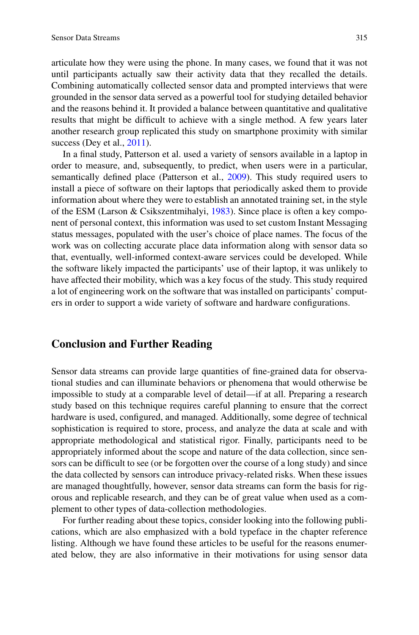articulate how they were using the phone. In many cases, we found that it was not until participants actually saw their activity data that they recalled the details. Combining automatically collected sensor data and prompted interviews that were grounded in the sensor data served as a powerful tool for studying detailed behavior and the reasons behind it. It provided a balance between quantitative and qualitative results that might be difficult to achieve with a single method. A few years later another research group replicated this study on smartphone proximity with similar success (Dey et al., [2011](#page-26-0)).

In a final study, Patterson et al. used a variety of sensors available in a laptop in order to measure, and, subsequently, to predict, when users were in a particular, semantically defined place (Patterson et al., 2009). This study required users to install a piece of software on their laptops that periodically asked them to provide information about where they were to establish an annotated training set, in the style of the ESM (Larson & Csikszentmihalyi, 1983). Since place is often a key component of personal context, this information was used to set custom Instant Messaging status messages, populated with the user's choice of place names. The focus of the work was on collecting accurate place data information along with sensor data so that, eventually, well-informed context-aware services could be developed. While the software likely impacted the participants' use of their laptop, it was unlikely to have affected their mobility, which was a key focus of the study. This study required a lot of engineering work on the software that was installed on participants' computers in order to support a wide variety of software and hardware configurations.

#### **Conclusion and Further Reading**

Sensor data streams can provide large quantities of fine-grained data for observational studies and can illuminate behaviors or phenomena that would otherwise be impossible to study at a comparable level of detail—if at all. Preparing a research study based on this technique requires careful planning to ensure that the correct hardware is used, configured, and managed. Additionally, some degree of technical sophistication is required to store, process, and analyze the data at scale and with appropriate methodological and statistical rigor. Finally, participants need to be appropriately informed about the scope and nature of the data collection, since sensors can be difficult to see (or be forgotten over the course of a long study) and since the data collected by sensors can introduce privacy-related risks. When these issues are managed thoughtfully, however, sensor data streams can form the basis for rigorous and replicable research, and they can be of great value when used as a complement to other types of data-collection methodologies.

 For further reading about these topics, consider looking into the following publications, which are also emphasized with a bold typeface in the chapter reference listing. Although we have found these articles to be useful for the reasons enumerated below, they are also informative in their motivations for using sensor data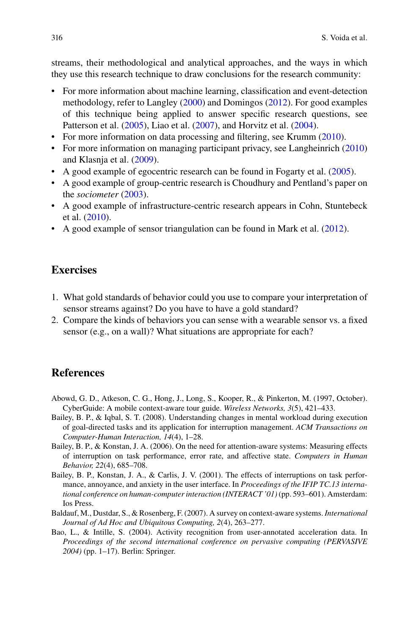<span id="page-25-0"></span>streams, their methodological and analytical approaches, and the ways in which they use this research technique to draw conclusions for the research community:

- For more information about machine learning, classification and event-detection methodology, refer to Langley  $(2000)$  and Domingos  $(2012)$ . For good examples of this technique being applied to answer specific research questions, see Patterson et al.  $(2005)$ , Liao et al.  $(2007)$ , and Horvitz et al.  $(2004)$ .
- For more information on data processing and filtering, see Krumm  $(2010)$ .
- For more information on managing participant privacy, see Langheinrich  $(2010)$ and Klasnja et al. (2009).
- A good example of egocentric research can be found in Fogarty et al.  $(2005)$ .
- A good example of group-centric research is Choudhury and Pentland's paper on the *sociometer* (2003).
- A good example of infrastructure-centric research appears in Cohn, Stuntebeck et al.  $(2010)$ .
- A good example of sensor triangulation can be found in Mark et al.  $(2012)$ .

# **Exercises**

- 1. What gold standards of behavior could you use to compare your interpretation of sensor streams against? Do you have to have a gold standard?
- 2. Compare the kinds of behaviors you can sense with a wearable sensor vs. a fixed sensor (e.g., on a wall)? What situations are appropriate for each?

#### **References**

- Abowd, G. D., Atkeson, C. G., Hong, J., Long, S., Kooper, R., & Pinkerton, M. (1997, October). CyberGuide: A mobile context-aware tour guide. *Wireless Networks, 3* (5), 421–433.
- Bailey, B. P., & Iqbal, S. T. (2008). Understanding changes in mental workload during execution of goal-directed tasks and its application for interruption management. *ACM Transactions on Computer-Human Interaction, 14* (4), 1–28.
- Bailey, B. P., & Konstan, J. A. (2006). On the need for attention-aware systems: Measuring effects of interruption on task performance, error rate, and affective state. *Computers in Human Behavior, 22* (4), 685–708.
- Bailey, B. P., Konstan, J. A., & Carlis, J. V. (2001). The effects of interruptions on task performance, annoyance, and anxiety in the user interface. In *Proceedings of the IFIP TC.13 international conference on human-computer interaction (INTERACT '01)* (pp. 593–601). Amsterdam: Ios Press.
- Baldauf, M., Dustdar, S., & Rosenberg, F. (2007). A survey on context-aware systems. *International Journal of Ad Hoc and Ubiquitous Computing, 2* (4), 263–277.
- Bao, L., & Intille, S. (2004). Activity recognition from user-annotated acceleration data. In *Proceedings of the second international conference on pervasive computing (PERVASIVE 2004)* (pp. 1–17). Berlin: Springer.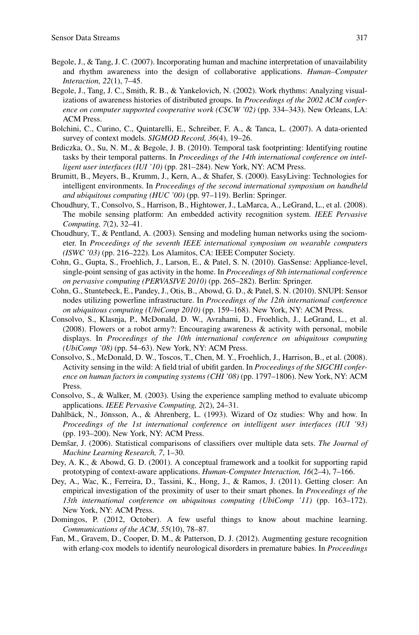- <span id="page-26-0"></span> Begole, J., & Tang, J. C. (2007). Incorporating human and machine interpretation of unavailability and rhythm awareness into the design of collaborative applications. *Human–Computer Interaction, 22(1), 7-45.*
- Begole, J., Tang, J. C., Smith, R. B., & Yankelovich, N. (2002). Work rhythms: Analyzing visualizations of awareness histories of distributed groups. In *Proceedings of the 2002 ACM conference on computer supported cooperative work (CSCW '02)* (pp. 334–343). New Orleans, LA: ACM Press.
- Bolchini, C., Curino, C., Quintarelli, E., Schreiber, F. A., & Tanca, L. (2007). A data-oriented survey of context models. *SIGMOD Record*, 36(4), 19-26.
- Brdiczka, O., Su, N. M., & Begole, J. B. (2010). Temporal task footprinting: Identifying routine tasks by their temporal patterns. In *Proceedings of the 14th international conference on intelligent user interfaces (IUI '10)* (pp. 281–284). New York, NY: ACM Press.
- Brumitt, B., Meyers, B., Krumm, J., Kern, A., & Shafer, S. (2000). EasyLiving: Technologies for intelligent environments. In *Proceedings of the second international symposium on handheld and ubiquitous computing (HUC '00)* (pp. 97–119). Berlin: Springer.
- Choudhury, T., Consolvo, S., Harrison, B., Hightower, J., LaMarca, A., LeGrand, L., et al. (2008). The mobile sensing platform: An embedded activity recognition system. *IEEE Pervasive Computing, 7(2), 32-41.*
- Choudhury, T., & Pentland, A. (2003). Sensing and modeling human networks using the sociometer. In *Proceedings of the seventh IEEE international symposium on wearable computers (ISWC '03)* (pp. 216–222). Los Alamitos, CA: IEEE Computer Society.
- Cohn, G., Gupta, S., Froehlich, J., Larson, E., & Patel, S. N. (2010). GasSense: Appliance-level, single-point sensing of gas activity in the home. In *Proceedings of 8th international conference on pervasive computing (PERVASIVE 2010)* (pp. 265–282). Berlin: Springer.
- Cohn, G., Stuntebeck, E., Pandey, J., Otis, B., Abowd, G. D., & Patel, S. N. (2010). SNUPI: Sensor nodes utilizing powerline infrastructure. In *Proceedings of the 12th international conference on ubiquitous computing (UbiComp 2010)* (pp. 159–168). New York, NY: ACM Press.
- Consolvo, S., Klasnja, P., McDonald, D. W., Avrahami, D., Froehlich, J., LeGrand, L., et al. (2008). Flowers or a robot army?: Encouraging awareness & activity with personal, mobile displays. In *Proceedings of the 10th international conference on ubiquitous computing (UbiComp '08)* (pp. 54–63). New York, NY: ACM Press.
- Consolvo, S., McDonald, D. W., Toscos, T., Chen, M. Y., Froehlich, J., Harrison, B., et al. (2008). Activity sensing in the wild: A field trial of ubifit garden. In *Proceedings of the SIGCHI conference on human factors in computing systems (CHI '08)* (pp. 1797–1806). New York, NY: ACM Press.
- Consolvo, S., & Walker, M. (2003). Using the experience sampling method to evaluate ubicomp applications. *IEEE Pervasive Computing*, 2(2), 24-31.
- Dahlbäck, N., Jönsson, A., & Ahrenberg, L. (1993). Wizard of Oz studies: Why and how. In *Proceedings of the 1st international conference on intelligent user interfaces (IUI '93)* (pp. 193–200). New York, NY: ACM Press.
- Demšar, J. (2006). Statistical comparisons of classifiers over multiple data sets. *The Journal of Machine Learning Research, 7, 1-30.*
- Dey, A. K., & Abowd, G. D. (2001). A conceptual framework and a toolkit for supporting rapid prototyping of context-aware applications. *Human-Computer Interaction*, 16(2–4), 7–166.
- Dey, A., Wac, K., Ferreira, D., Tassini, K., Hong, J., & Ramos, J. (2011). Getting closer: An empirical investigation of the proximity of user to their smart phones. In *Proceedings of the 13th international conference on ubiquitous computing (UbiComp '11)* (pp. 163–172). New York, NY: ACM Press.
- Domingos, P. (2012, October). A few useful things to know about machine learning. *Communications of the ACM* , *55* (10), 78–87.
- Fan, M., Gravem, D., Cooper, D. M., & Patterson, D. J. (2012). Augmenting gesture recognition with erlang-cox models to identify neurological disorders in premature babies. In *Proceedings*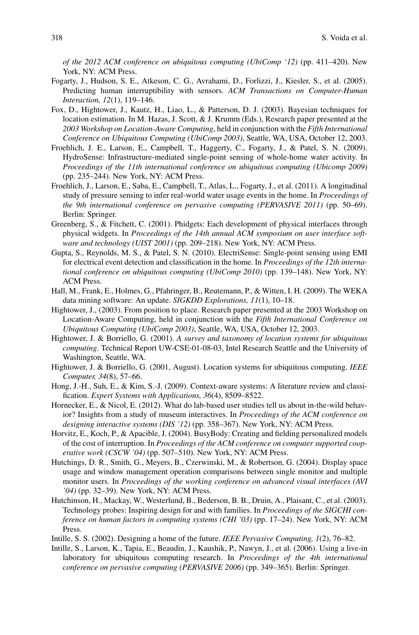<span id="page-27-0"></span>*of the 2012 ACM conference on ubiquitous computing (UbiComp '12)* (pp. 411–420). New York, NY: ACM Press.

- Fogarty, J., Hudson, S. E., Atkeson, C. G., Avrahami, D., Forlizzi, J., Kiesler, S., et al. (2005). Predicting human interruptibility with sensors. *ACM Transactions on Computer-Human Interaction, 12(1), 119-146.*
- Fox, D., Hightower, J., Kautz, H., Liao, L., & Patterson, D. J. (2003). Bayesian techniques for location estimation. In M. Hazas, J. Scott, & J. Krumm (Eds.), Research paper presented at the *2003 Workshop on Location-Aware Computing* , held in conjunction with the *Fifth International Conference on Ubiquitous Computing (UbiComp 2003)* , Seattle, WA, USA, October 12, 2003.
- Froehlich, J. E., Larson, E., Campbell, T., Haggerty, C., Fogarty, J., & Patel, S. N. (2009). HydroSense: Infrastructure-mediated single-point sensing of whole-home water activity. In *Proceedings of the 11th international conference on ubiquitous computing (Ubicomp 2009)* (pp. 235–244). New York, NY: ACM Press.
- Froehlich, J., Larson, E., Saba, E., Campbell, T., Atlas, L., Fogarty, J., et al. (2011). A longitudinal study of pressure sensing to infer real-world water usage events in the home. In *Proceedings of the 9th international conference on pervasive computing (PERVASIVE 2011)* (pp. 50–69). Berlin: Springer.
- Greenberg, S., & Fitchett, C. (2001). Phidgets: Each development of physical interfaces through physical widgets. In *Proceedings of the 14th annual ACM symposium on user interface software and technology (UIST 2001)* (pp. 209–218). New York, NY: ACM Press.
- Gupta, S., Reynolds, M. S., & Patel, S. N. (2010). ElectriSense: Single-point sensing using EMI for electrical event detection and classification in the home. In *Proceedings of the 12th international conference on ubiquitous computing (UbiComp 2010)* (pp. 139–148). New York, NY: ACM Press.
- Hall, M., Frank, E., Holmes, G., Pfahringer, B., Reutemann, P., & Witten, I. H. (2009). The WEKA data mining software: An update. *SIGKDD Explorations*, 11(1), 10–18.
- Hightower, J., (2003). From position to place. Research paper presented at the 2003 Workshop on Location-Aware Computing, held in conjunction with the *Fifth International Conference on Ubiquitous Computing (UbiComp 2003)* , Seattle, WA, USA, October 12, 2003.
- Hightower, J. & Borriello, G. (2001). *A survey and taxonomy of location systems for ubiquitous computing* . Technical Report UW-CSE-01-08-03, Intel Research Seattle and the University of Washington, Seattle, WA.
- Hightower, J. & Borriello, G. (2001, August). Location systems for ubiquitous computing. *IEEE Computer, 34* (8), 57–66.
- Hong, J.-H., Suh, E., & Kim, S.-J. (2009). Context-aware systems: A literature review and classification. *Expert Systems with Applications*, 36(4), 8509-8522.
- Hornecker, E., & Nicol, E. (2012). What do lab-based user studies tell us about in-the-wild behavior? Insights from a study of museum interactives. In *Proceedings of the ACM conference on designing interactive systems (DIS '12)* (pp. 358–367). New York, NY: ACM Press.
- Horvitz, E., Koch, P., & Apacible, J. (2004). BusyBody: Creating and fielding personalized models of the cost of interruption. In *Proceedings of the ACM conference on computer supported cooperative work (CSCW '04)* (pp. 507–510). New York, NY: ACM Press.
- Hutchings, D. R., Smith, G., Meyers, B., Czerwinski, M., & Robertson, G. (2004). Display space usage and window management operation comparisons between single monitor and multiple monitor users. In *Proceedings of the working conference on advanced visual interfaces (AVI '04)* (pp. 32–39). New York, NY: ACM Press.
- Hutchinson, H., Mackay, W., Westerlund, B., Bederson, B. B., Druin, A., Plaisant, C., et al. (2003). Technology probes: Inspiring design for and with families. In *Proceedings of the SIGCHI conference on human factors in computing systems (CHI '03)* (pp. 17–24). New York, NY: ACM Press.
- Intille, S. S. (2002). Designing a home of the future. *IEEE Pervasive Computing, 1* (2), 76–82.
- Intille, S., Larson, K., Tapia, E., Beaudin, J., Kaushik, P., Nawyn, J., et al. (2006). Using a live-in laboratory for ubiquitous computing research. In *Proceedings of the 4th international conference on pervasive computing (PERVASIVE 2006)* (pp. 349–365). Berlin: Springer.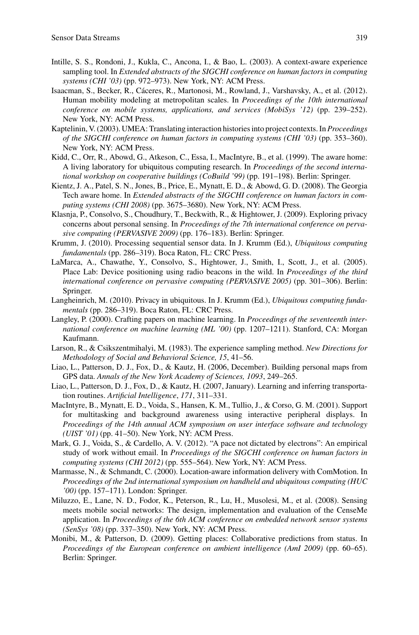- <span id="page-28-0"></span> Intille, S. S., Rondoni, J., Kukla, C., Ancona, I., & Bao, L. (2003). A context-aware experience sampling tool. In *Extended abstracts of the SIGCHI conference on human factors in computing systems (CHI '03)* (pp. 972–973). New York, NY: ACM Press.
- Isaacman, S., Becker, R., Cáceres, R., Martonosi, M., Rowland, J., Varshavsky, A., et al. (2012). Human mobility modeling at metropolitan scales. In *Proceedings of the 10th international conference on mobile systems, applications, and services (MobiSys '12)* (pp. 239–252). New York, NY: ACM Press.
- Kaptelinin, V. (2003). UMEA: Translating interaction histories into project contexts. In *Proceedings of the SIGCHI conference on human factors in computing systems (CHI '03)* (pp. 353–360). New York, NY: ACM Press.
- Kidd, C., Orr, R., Abowd, G., Atkeson, C., Essa, I., MacIntyre, B., et al. (1999). The aware home: A living laboratory for ubiquitous computing research. In *Proceedings of the second international workshop on cooperative buildings (CoBuild '99)* (pp. 191–198). Berlin: Springer.
- Kientz, J. A., Patel, S. N., Jones, B., Price, E., Mynatt, E. D., & Abowd, G. D. (2008). The Georgia Tech aware home. In *Extended abstracts of the SIGCHI conference on human factors in computing systems (CHI 2008)* (pp. 3675–3680). New York, NY: ACM Press.
- Klasnja, P., Consolvo, S., Choudhury, T., Beckwith, R., & Hightower, J. (2009). Exploring privacy concerns about personal sensing. In *Proceedings of the 7th international conference on pervasive computing (PERVASIVE 2009)* (pp. 176–183). Berlin: Springer.
- Krumm, J. (2010). Processing sequential sensor data. In J. Krumm (Ed.), *Ubiquitous computing fundamentals* (pp. 286–319). Boca Raton, FL: CRC Press.
- LaMarca, A., Chawathe, Y., Consolvo, S., Hightower, J., Smith, I., Scott, J., et al. (2005). Place Lab: Device positioning using radio beacons in the wild. In *Proceedings of the third international conference on pervasive computing (PERVASIVE 2005)* (pp. 301–306). Berlin: Springer.
- Langheinrich, M. (2010). Privacy in ubiquitous. In J. Krumm (Ed.), *Ubiquitous computing fundamentals* (pp. 286–319). Boca Raton, FL: CRC Press.
- Langley, P. (2000). Crafting papers on machine learning. In *Proceedings of the seventeenth international conference on machine learning (ML '00)* (pp. 1207–1211). Stanford, CA: Morgan Kaufmann.
- Larson, R., & Csikszentmihalyi, M. (1983). The experience sampling method. *New Directions for Methodology of Social and Behavioral Science, 15, 41–56.*
- Liao, L., Patterson, D. J., Fox, D., & Kautz, H. (2006, December). Building personal maps from GPS data. *Annals of the New York Academy of Sciences, 1093* , 249–265.
- Liao, L., Patterson, D. J., Fox, D., & Kautz, H. (2007, January). Learning and inferring transportation routines. *Artificial Intelligence*, 171, 311–331.
- MacIntyre, B., Mynatt, E. D., Voida, S., Hansen, K. M., Tullio, J., & Corso, G. M. (2001). Support for multitasking and background awareness using interactive peripheral displays. In *Proceedings of the 14th annual ACM symposium on user interface software and technology (UIST '01)* (pp. 41–50). New York, NY: ACM Press.
- Mark, G. J., Voida, S., & Cardello, A. V. (2012). "A pace not dictated by electrons": An empirical study of work without email. In *Proceedings of the SIGCHI conference on human factors in computing systems (CHI 2012)* (pp. 555–564). New York, NY: ACM Press.
- Marmasse, N., & Schmandt, C. (2000). Location-aware information delivery with ComMotion. In *Proceedings of the 2nd international symposium on handheld and ubiquitous computing (HUC '00)* (pp. 157–171). London: Springer.
- Miluzzo, E., Lane, N. D., Fodor, K., Peterson, R., Lu, H., Musolesi, M., et al. (2008). Sensing meets mobile social networks: The design, implementation and evaluation of the CenseMe application. In *Proceedings of the 6th ACM conference on embedded network sensor systems (SenSys '08)* (pp. 337–350). New York, NY: ACM Press.
- Monibi, M., & Patterson, D. (2009). Getting places: Collaborative predictions from status. In *Proceedings of the European conference on ambient intelligence (AmI 2009)* (pp. 60–65). Berlin: Springer.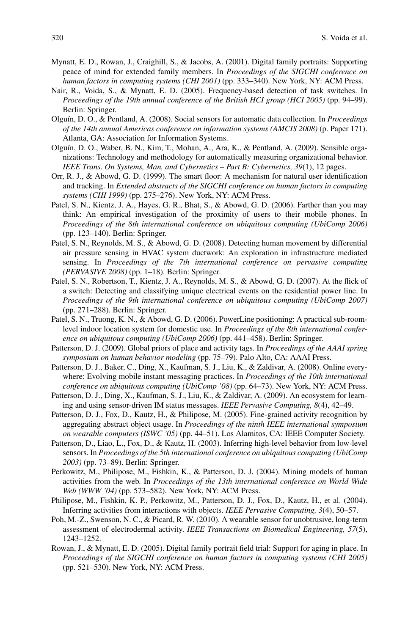- <span id="page-29-0"></span> Mynatt, E. D., Rowan, J., Craighill, S., & Jacobs, A. (2001). Digital family portraits: Supporting peace of mind for extended family members. In *Proceedings of the SIGCHI conference on human factors in computing systems (CHI 2001)* (pp. 333–340). New York, NY: ACM Press.
- Nair, R., Voida, S., & Mynatt, E. D. (2005). Frequency-based detection of task switches. In *Proceedings of the 19th annual conference of the British HCI group (HCI 2005)* (pp. 94–99). Berlin: Springer.
- Olguín, D. O., & Pentland, A. (2008). Social sensors for automatic data collection. In *Proceedings of the 14th annual Americas conference on information systems (AMCIS 2008)* (p. Paper 171). Atlanta, GA: Association for Information Systems.
- Olguín, D. O., Waber, B. N., Kim, T., Mohan, A., Ara, K., & Pentland, A. (2009). Sensible organizations: Technology and methodology for automatically measuring organizational behavior. *IEEE Trans. On Systems, Man, and Cybernetics – Part B: Cybernetics, 39(1), 12 pages.*
- Orr, R. J., & Abowd, G. D. (1999). The smart floor: A mechanism for natural user identification and tracking. In *Extended abstracts of the SIGCHI conference on human factors in computing systems (CHI 1999)* (pp. 275–276). New York, NY: ACM Press.
- Patel, S. N., Kientz, J. A., Hayes, G. R., Bhat, S., & Abowd, G. D. (2006). Farther than you may think: An empirical investigation of the proximity of users to their mobile phones. In *Proceedings of the 8th international conference on ubiquitous computing (UbiComp 2006)* (pp. 123–140). Berlin: Springer.
- Patel, S. N., Reynolds, M. S., & Abowd, G. D. (2008). Detecting human movement by differential air pressure sensing in HVAC system ductwork: An exploration in infrastructure mediated sensing. In *Proceedings of the 7th international conference on pervasive computing (PERVASIVE 2008)* (pp. 1–18). Berlin: Springer.
- Patel, S. N., Robertson, T., Kientz, J. A., Reynolds, M. S., & Abowd, G. D. (2007). At the flick of a switch: Detecting and classifying unique electrical events on the residential power line. In *Proceedings of the 9th international conference on ubiquitous computing (UbiComp 2007)* (pp. 271–288). Berlin: Springer.
- Patel, S. N., Truong, K. N., & Abowd, G. D. (2006). PowerLine positioning: A practical sub-roomlevel indoor location system for domestic use. In *Proceedings of the 8th international conference on ubiquitous computing (UbiComp 2006)* (pp. 441–458). Berlin: Springer.
- Patterson, D. J. (2009). Global priors of place and activity tags. In *Proceedings of the AAAI spring symposium on human behavior modeling* (pp. 75–79). Palo Alto, CA: AAAI Press.
- Patterson, D. J., Baker, C., Ding, X., Kaufman, S. J., Liu, K., & Zaldivar, A. (2008). Online everywhere: Evolving mobile instant messaging practices. In *Proceedings of the 10th international conference on ubiquitous computing (UbiComp '08)* (pp. 64–73). New York, NY: ACM Press.
- Patterson, D. J., Ding, X., Kaufman, S. J., Liu, K., & Zaldivar, A. (2009). An ecosystem for learning and using sensor-driven IM status messages. *IEEE Pervasive Computing, 8* (4), 42–49.
- Patterson, D. J., Fox, D., Kautz, H., & Philipose, M. (2005). Fine-grained activity recognition by aggregating abstract object usage. In *Proceedings of the ninth IEEE international symposium on wearable computers (ISWC '05)* (pp. 44–51). Los Alamitos, CA: IEEE Computer Society.
- Patterson, D., Liao, L., Fox, D., & Kautz, H. (2003). Inferring high-level behavior from low-level sensors. In *Proceedings of the 5th international conference on ubiquitous computing (UbiComp 2003)* (pp. 73–89). Berlin: Springer.
- Perkowitz, M., Philipose, M., Fishkin, K., & Patterson, D. J. (2004). Mining models of human activities from the web. In *Proceedings of the 13th international conference on World Wide Web (WWW '04)* (pp. 573–582). New York, NY: ACM Press.
- Philipose, M., Fishkin, K. P., Perkowitz, M., Patterson, D. J., Fox, D., Kautz, H., et al. (2004). Inferring activities from interactions with objects. *IEEE Pervasive Computing, 3* (4), 50–57.
- Poh, M.-Z., Swenson, N. C., & Picard, R. W. (2010). A wearable sensor for unobtrusive, long-term assessment of electrodermal activity. *IEEE Transactions on Biomedical Engineering, 57* (5), 1243–1252.
- Rowan, J., & Mynatt, E. D. (2005). Digital family portrait field trial: Support for aging in place. In *Proceedings of the SIGCHI conference on human factors in computing systems (CHI 2005)* (pp. 521–530). New York, NY: ACM Press.